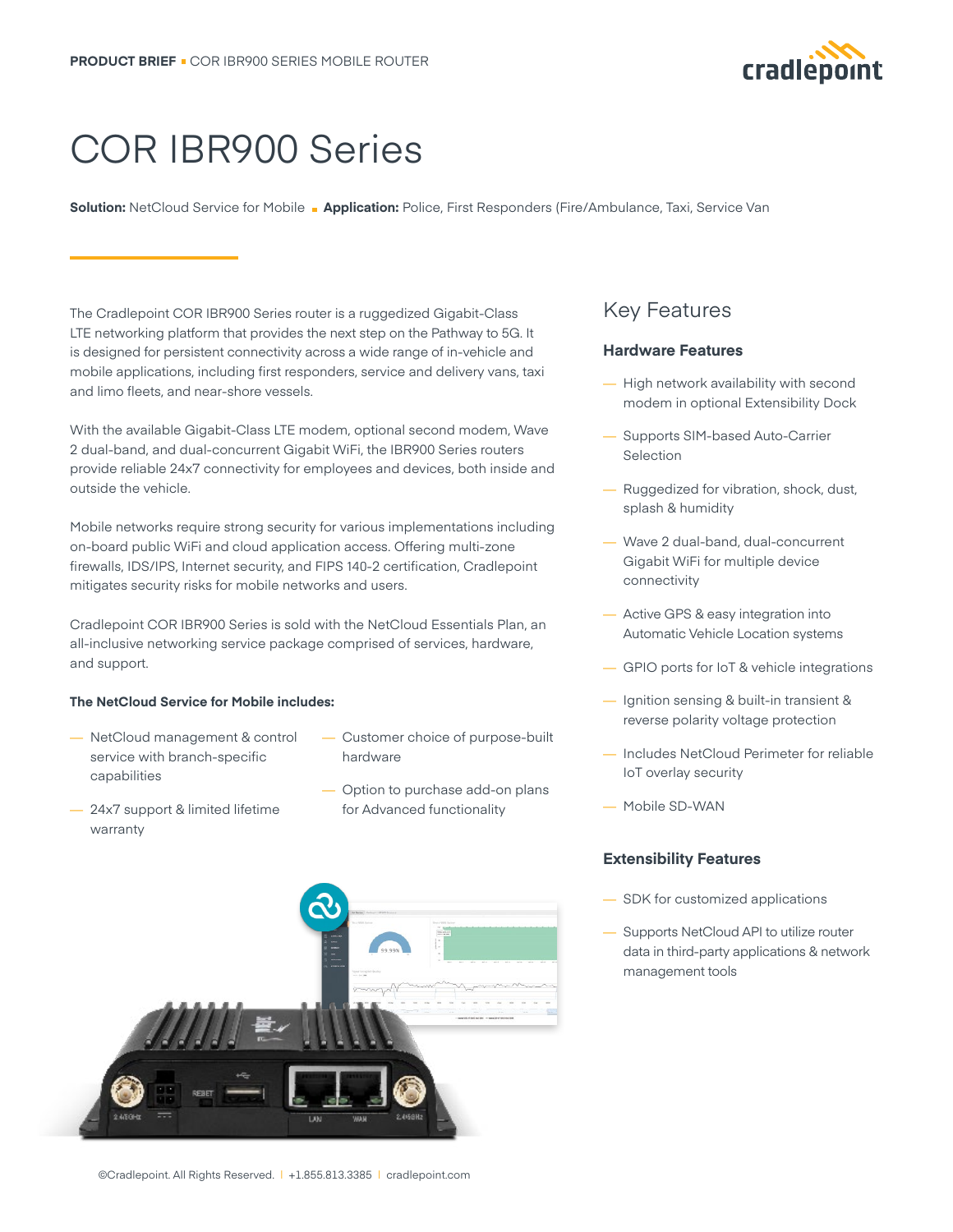

# COR IBR900 Series

**Solution:** NetCloud Service for Mobile **Application:** Police, First Responders (Fire/Ambulance, Taxi, Service Van

The Cradlepoint COR IBR900 Series router is a ruggedized Gigabit-Class LTE networking platform that provides the next step on the Pathway to 5G. It is designed for persistent connectivity across a wide range of in-vehicle and mobile applications, including first responders, service and delivery vans, taxi and limo fleets, and near-shore vessels.

With the available Gigabit-Class LTE modem, optional second modem, Wave 2 dual-band, and dual-concurrent Gigabit WiFi, the IBR900 Series routers provide reliable 24x7 connectivity for employees and devices, both inside and outside the vehicle.

Mobile networks require strong security for various implementations including on-board public WiFi and cloud application access. Offering multi-zone firewalls, IDS/IPS, Internet security, and FIPS 140-2 certification, Cradlepoint mitigates security risks for mobile networks and users.

Cradlepoint COR IBR900 Series is sold with the NetCloud Essentials Plan, an all-inclusive networking service package comprised of services, hardware, and support.

#### **The NetCloud Service for Mobile includes:**

- NetCloud management & control service with branch-specific capabilities
- Customer choice of purpose-built hardware
- 24x7 support & limited lifetime warranty
- Option to purchase add-on plans for Advanced functionality



## Key Features

#### **Hardware Features**

- High network availability with second modem in optional Extensibility Dock
- Supports SIM-based Auto-Carrier Selection
- Ruggedized for vibration, shock, dust, splash & humidity
- Wave 2 dual-band, dual-concurrent Gigabit WiFi for multiple device connectivity
- Active GPS & easy integration into Automatic Vehicle Location systems
- GPIO ports for IoT & vehicle integrations
- Ignition sensing & built-in transient & reverse polarity voltage protection
- Includes NetCloud Perimeter for reliable IoT overlay security
- Mobile SD-WAN

#### **Extensibility Features**

- SDK for customized applications
- Supports NetCloud API to utilize router data in third-party applications & network management tools